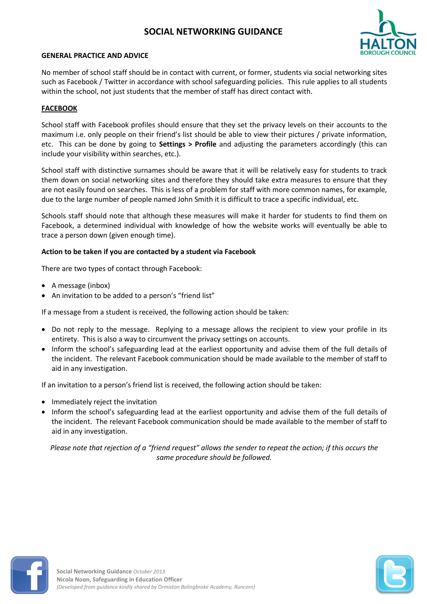# **SOCIAL NETWORKING GUIDANCE**



#### **GENERAL PRACTICE AND ADVICE**

No member of school staff should be in contact with current, or former, students via social networking sites such as Facebook / Twitter in accordance with school safeguarding policies. This rule applies to all students within the school, not just students that the member of staff has direct contact with.

### **FACEBOOK**

School staff with Facebook profiles should ensure that they set the privacy levels on their accounts to the maximum i.e. only people on their friend's list should be able to view their pictures / private information, etc. This can be done by going to **Settings > Profile** and adjusting the parameters accordingly (this can include your visibility within searches, etc.).

School staff with distinctive surnames should be aware that it will be relatively easy for students to track them down on social networking sites and therefore they should take extra measures to ensure that they are not easily found on searches. This is less of a problem for staff with more common names, for example, due to the large number of people named John Smith it is difficult to trace a specific individual, etc.

Schools staff should note that although these measures will make it harder for students to find them on Facebook, a determined individual with knowledge of how the website works will eventually be able to trace a person down (given enough time).

#### **Action to be taken if you are contacted by a student via Facebook**

There are two types of contact through Facebook:

- A message (inbox)
- An invitation to be added to a person's "friend list"

If a message from a student is received, the following action should be taken:

- Do not reply to the message. Replying to a message allows the recipient to view your profile in its entirety. This is also a way to circumvent the privacy settings on accounts.
- Inform the school's safeguarding lead at the earliest opportunity and advise them of the full details of the incident. The relevant Facebook communication should be made available to the member of staff to aid in any investigation.

If an invitation to a person's friend list is received, the following action should be taken:

- Immediately reject the invitation
- Inform the school's safeguarding lead at the earliest opportunity and advise them of the full details of the incident. The relevant Facebook communication should be made available to the member of staff to aid in any investigation.

*Please note that rejection of a "friend request" allows the sender to repeat the action; if this occurs the same procedure should be followed.*